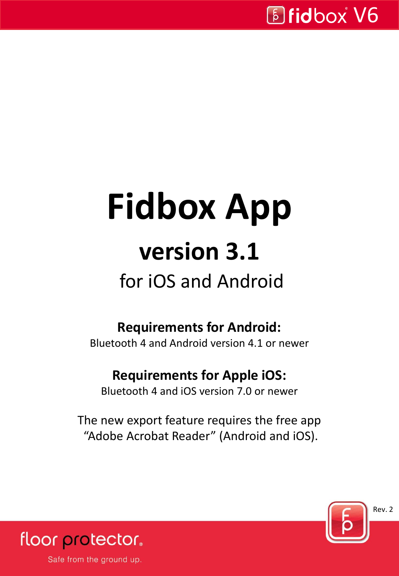# **Fidbox App version 3.1**

### for iOS and Android

### **Requirements for Android:**

Bluetooth 4 and Android version 4.1 or newer

#### **Requirements for Apple iOS:**

Bluetooth 4 and iOS version 7.0 or newer

The new export feature requires the free app "Adobe Acrobat Reader" (Android and iOS).



floor protector.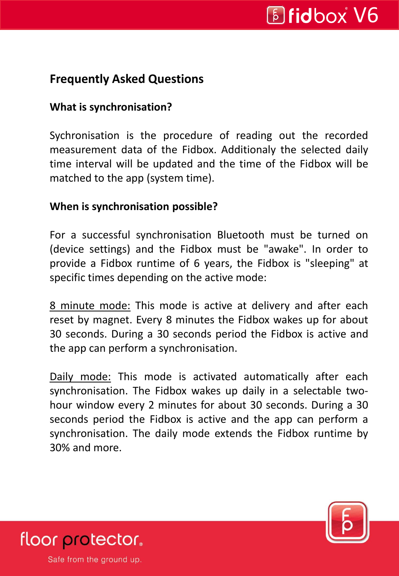#### **Frequently Asked Questions**

#### **What is synchronisation?**

Sychronisation is the procedure of reading out the recorded measurement data of the Fidbox. Additionaly the selected daily time interval will be updated and the time of the Fidbox will be matched to the app (system time).

#### **When is synchronisation possible?**

For a successful synchronisation Bluetooth must be turned on (device settings) and the Fidbox must be "awake". In order to provide a Fidbox runtime of 6 years, the Fidbox is "sleeping" at specific times depending on the active mode:

8 minute mode: This mode is active at delivery and after each reset by magnet. Every 8 minutes the Fidbox wakes up for about 30 seconds. During a 30 seconds period the Fidbox is active and the app can perform a synchronisation.

Daily mode: This mode is activated automatically after each synchronisation. The Fidbox wakes up daily in a selectable twohour window every 2 minutes for about 30 seconds. During a 30 seconds period the Fidbox is active and the app can perform a synchronisation. The daily mode extends the Fidbox runtime by 30% and more.



floor protector.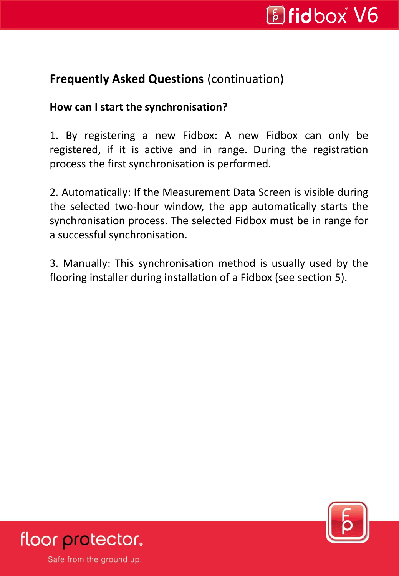#### **Frequently Asked Questions** (continuation)

#### **How can I start the synchronisation?**

1. By registering a new Fidbox: A new Fidbox can only be registered, if it is active and in range. During the registration process the first synchronisation is performed.

2. Automatically: If the Measurement Data Screen is visible during the selected two-hour window, the app automatically starts the synchronisation process. The selected Fidbox must be in range for a successful synchronisation.

3. Manually: This synchronisation method is usually used by the flooring installer during installation of a Fidbox (see section 5).



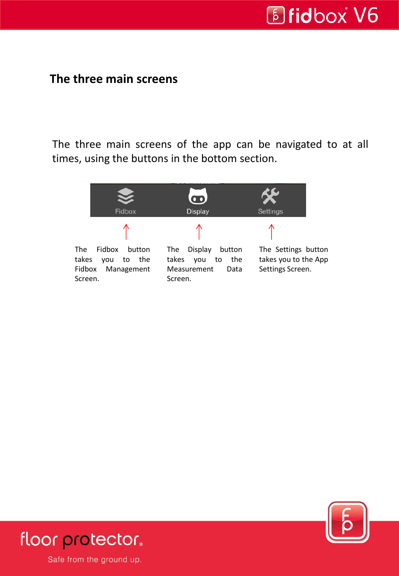# *Bidbox V6*

Ξ

#### **The three main screens**

The three main screens of the app can be navigated to at all times, using the buttons in the bottom section.





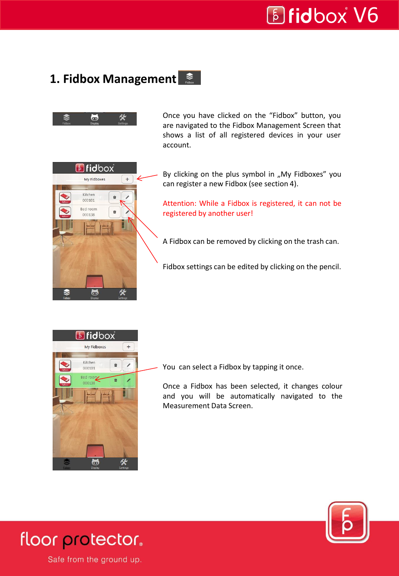Ξ

#### 1. Fidbox Management  $\frac{1}{\pi}$



Once you have clicked on the "Fidbox" button, you are navigated to the Fidbox Management Screen that shows a list of all registered devices in your user account.



By clicking on the plus symbol in "My Fidboxes" you can register a new Fidbox (see section 4).

Attention: While a Fidbox is registered, it can not be registered by another user!

A Fidbox can be removed by clicking on the trash can.

Fidbox settings can be edited by clicking on the pencil.



You can select a Fidbox by tapping it once.

Once a Fidbox has been selected, it changes colour and you will be automatically navigated to the Measurement Data Screen.



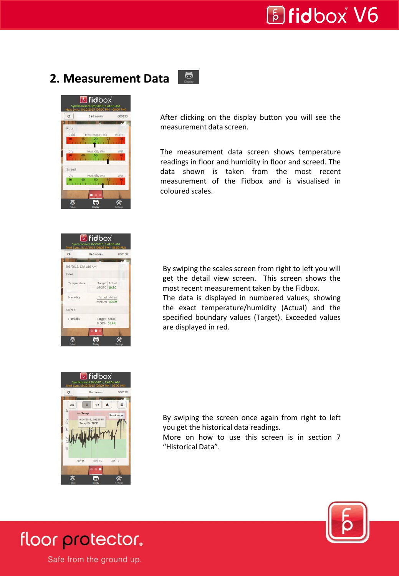Ξ

#### **2. Measurement Data**



After clicking on the display button you will see the measurement data screen.

 $\bullet$ 

The measurement data screen shows temperature readings in floor and humidity in floor and screed. The data shown is taken from the most recent measurement of the Fidbox and is visualised in coloured scales.

| $\mathbf{C}$          | Bed room                        | 000138 |
|-----------------------|---------------------------------|--------|
|                       |                                 |        |
| 8/5/2015, 12:41:16 AM |                                 |        |
| Floor                 |                                 |        |
| Temperature           | Target Actual<br>16-27C 19.5C   |        |
| Humidity              | Target Actual<br>40-60% 59.3%   |        |
| Screed                |                                 |        |
| Humidity              | Target Actual<br>$0.60\%$ 55.4% |        |

By swiping the scales screen from right to left you will get the detail view screen. This screen shows the most recent measurement taken by the Fidbox.

The data is displayed in numbered values, showing the exact temperature/humidity (Actual) and the specified boundary values (Target). Exceeded values are displayed in red.



By swiping the screen once again from right to left you get the historical data readings.

More on how to use this screen is in section 7 "Historical Data".



floor protector.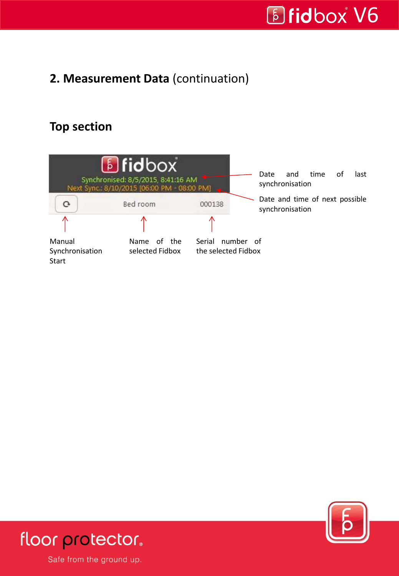# *Bidbox V6*

Ξ

#### **2. Measurement Data** (continuation)

#### **Top section**





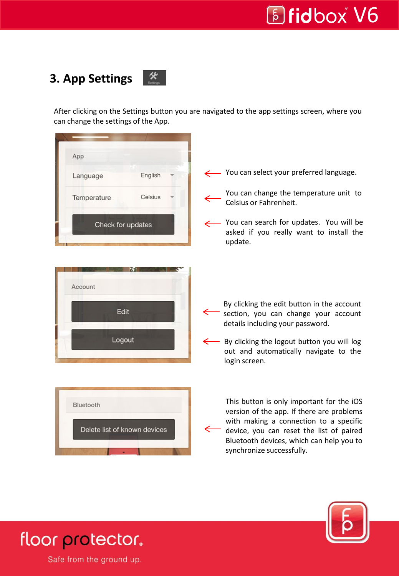### **E** fidbox V6

Ξ

#### $\mathscr{R}$ **3. App Settings**







floor protector.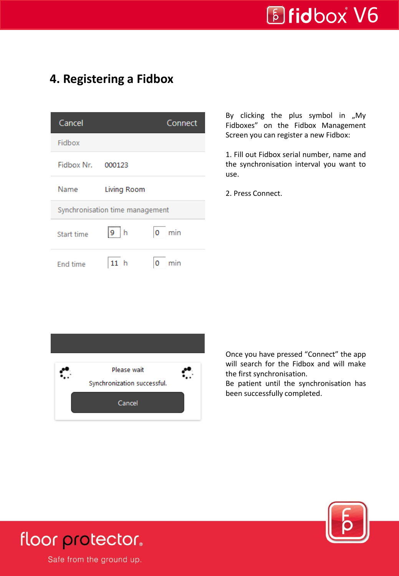#### **4. Registering a Fidbox**

| Cancel                          |              | Connect  |  |  |
|---------------------------------|--------------|----------|--|--|
| Fidbox                          |              |          |  |  |
| Fidbox Nr. 000123               |              |          |  |  |
| Name                            | Living Room  |          |  |  |
| Synchronisation time management |              |          |  |  |
| Start time                      | $\sqrt{9}$ h | $0$ min  |  |  |
| <b>End time</b>                 | h            | O<br>min |  |  |

By clicking the plus symbol in  $\mu$ My Fidboxes" on the Fidbox Management Screen you can register a new Fidbox:

1. Fill out Fidbox serial number, name and the synchronisation interval you want to use.

2. Press Connect.



Once you have pressed "Connect" the app will search for the Fidbox and will make the first synchronisation.

Be patient until the synchronisation has been successfully completed.



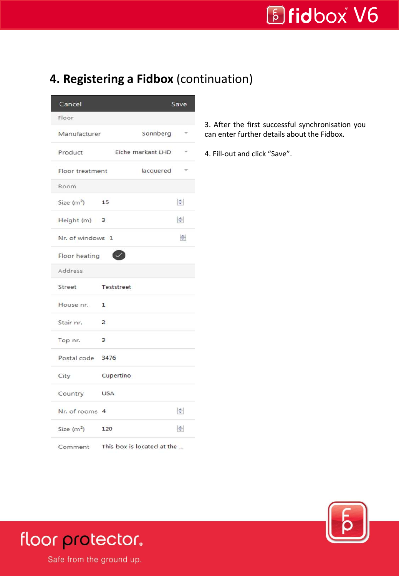# *Bidbox V6*

Ξ

#### **4. Registering a Fidbox** (continuation)

| Cancel           |                                    |                   | Save                     |
|------------------|------------------------------------|-------------------|--------------------------|
| Floor            |                                    |                   |                          |
| Manufacturer     |                                    | Sonnberg          | $\overline{\phantom{a}}$ |
| Product          |                                    | Eiche markant LHD | $\overline{\phantom{a}}$ |
| Floor treatment  |                                    | lacquered         |                          |
| Room             |                                    |                   |                          |
| Size $(m^2)$     | 15                                 |                   | $\Rightarrow$            |
| Height (m) 3     |                                    |                   | $\Rightarrow$            |
| Nr. of windows 1 |                                    |                   | $\div$                   |
| Floor heating    |                                    |                   |                          |
| Address          |                                    |                   |                          |
| Street           | Teststreet                         |                   |                          |
| House nr.        | $\mathbf{1}$                       |                   |                          |
| Stair nr.        | 2                                  |                   |                          |
| Top nr.          | $\mathbf{3}$                       |                   |                          |
| Postal code 3476 |                                    |                   |                          |
| City             | Cupertino                          |                   |                          |
| Country          | <b>USA</b>                         |                   |                          |
| Nr. of rooms 4   |                                    |                   | $\Rightarrow$            |
| Size $(m^2)$     | 120                                |                   | 늘                        |
|                  | Comment This box is located at the |                   |                          |

3. After the first successful synchronisation you can enter further details about the Fidbox.

4. Fill-out and click "Save".



### floor protector.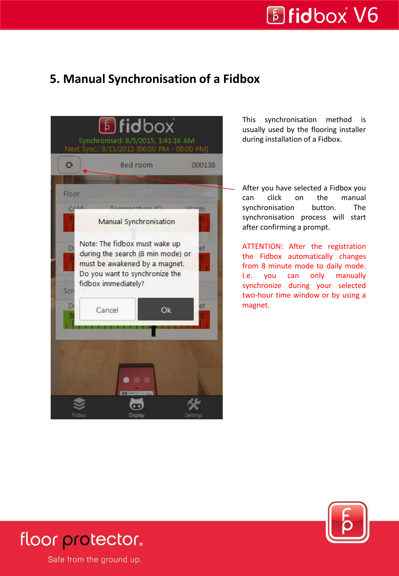Ξ

#### **5. Manual Synchronisation of a Fidbox**



This synchronisation method is usually used by the flooring installer during installation of a Fidbox.

After you have selected a Fidbox you can click on the manual synchronisation button. The synchronisation process will start after confirming a prompt.

ATTENTION: After the registration the Fidbox automatically changes from 8 minute mode to daily mode. I.e. you can only manually synchronize during your selected two-hour time window or by using a magnet.



### floor protector.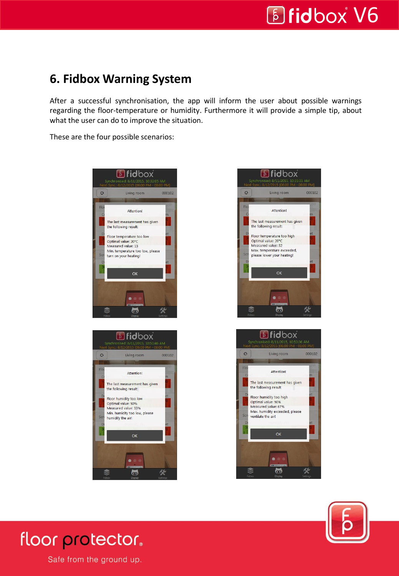Ξ

#### **6. Fidbox Warning System**

After a successful synchronisation, the app will inform the user about possible warnings regarding the floor-temperature or humidity. Furthermore it will provide a simple tip, about what the user can do to improve the situation.

These are the four possible scenarios:









### floor protector.